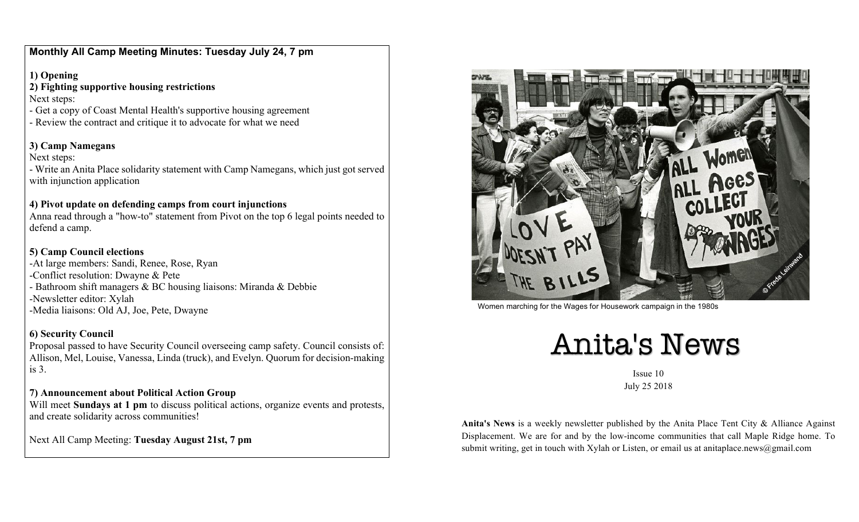**Monthly All Camp Meeting Minutes: Tuesday July 24, 7 pm**

**1) Opening**

**2) Fighting supportive housing restrictions** Next steps:

- Get a copy of Coast Mental Health's supportive housing agreement
- Review the contract and critique it to advocate for what we need

## **3) Camp Namegans**

Next steps:

- Write an Anita Place solidarity statement with Camp Namegans, which just got served with injunction application

## **4) Pivot update on defending camps from court injunctions**

Anna read through a "how-to" statement from Pivot on the top 6 legal points needed to defend a camp.

## **5) Camp Council elections**

-At large members: Sandi, Renee, Rose, Ryan -Conflict resolution: Dwayne & Pete - Bathroom shift managers & BC housing liaisons: Miranda & Debbie -Newsletter editor: Xylah -Media liaisons: Old AJ, Joe, Pete, Dwayne

## **6) Security Council**

Proposal passed to have Security Council overseeing camp safety. Council consists of: Allison, Mel, Louise, Vanessa, Linda (truck), and Evelyn. Quorum for decision-making is 3.

## **7) Announcement about Political Action Group**

Will meet **Sundays at 1 pm** to discuss political actions, organize events and protests, and create solidarity across communities!

Next All Camp Meeting: **Tuesday August 21st, 7 pm**



Women marching for the Wages for Housework campaign in the 1980s

# Anita's News

Issue 10 July 25 2018

**Anita's News** is a weekly newsletter published by the Anita Place Tent City & Alliance Against Displacement. We are for and by the low-income communities that call Maple Ridge home. To submit writing, get in touch with Xylah or Listen, or email us at anitaplace.news@gmail.com